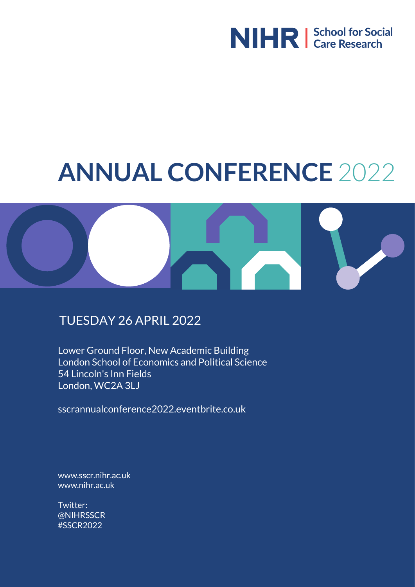

# **ANNUAL CONFERENCE** 2022



#### TUESDAY 26 APRIL 2022

Lower Ground Floor, New Academic Building London School of Economics and Political Science 54 Lincoln's Inn Fields London, WC2A 3LJ

sscrannualconference2022.eventbrite.co.uk

www.sscr.nihr.ac.uk www.nihr.ac.uk

[Twitter:](http://www.sscr.nihr.ac.uk)  [@NIHRSSCR](http://www.nihr.ac.uk) #SSCR2022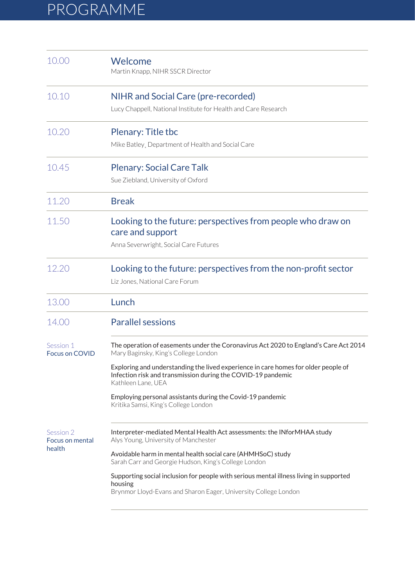## PROGRAMME

| 10.00                                  | Welcome<br>Martin Knapp, NIHR SSCR Director                                                                                                                              |
|----------------------------------------|--------------------------------------------------------------------------------------------------------------------------------------------------------------------------|
| 10.10                                  | NIHR and Social Care (pre-recorded)                                                                                                                                      |
|                                        | Lucy Chappell, National Institute for Health and Care Research                                                                                                           |
| 10.20                                  | Plenary: Title tbc                                                                                                                                                       |
|                                        | Mike Batley, Department of Health and Social Care                                                                                                                        |
| 10.45                                  | <b>Plenary: Social Care Talk</b>                                                                                                                                         |
|                                        | Sue Ziebland, University of Oxford                                                                                                                                       |
| 11.20                                  | <b>Break</b>                                                                                                                                                             |
| 11.50                                  | Looking to the future: perspectives from people who draw on<br>care and support                                                                                          |
|                                        | Anna Severwright, Social Care Futures                                                                                                                                    |
| 12.20                                  | Looking to the future: perspectives from the non-profit sector                                                                                                           |
|                                        | Liz Jones, National Care Forum                                                                                                                                           |
| 13.00                                  | Lunch                                                                                                                                                                    |
| 14.00                                  | <b>Parallel sessions</b>                                                                                                                                                 |
| Session 1<br><b>Focus on COVID</b>     | The operation of easements under the Coronavirus Act 2020 to England's Care Act 2014<br>Mary Baginsky, King's College London                                             |
|                                        | Exploring and understanding the lived experience in care homes for older people of<br>Infection risk and transmission during the COVID-19 pandemic<br>Kathleen Lane, UEA |
|                                        | Employing personal assistants during the Covid-19 pandemic<br>Kritika Samsi, King's College London                                                                       |
| Session 2<br>Focus on mental<br>health | Interpreter-mediated Mental Health Act assessments: the INforMHAA study<br>Alys Young, University of Manchester                                                          |
|                                        | Avoidable harm in mental health social care (AHMHSoC) study<br>Sarah Carr and Georgie Hudson, King's College London                                                      |
|                                        | Supporting social inclusion for people with serious mental illness living in supported<br>housing<br>Brynmor Lloyd-Evans and Sharon Eager, University College London     |
|                                        |                                                                                                                                                                          |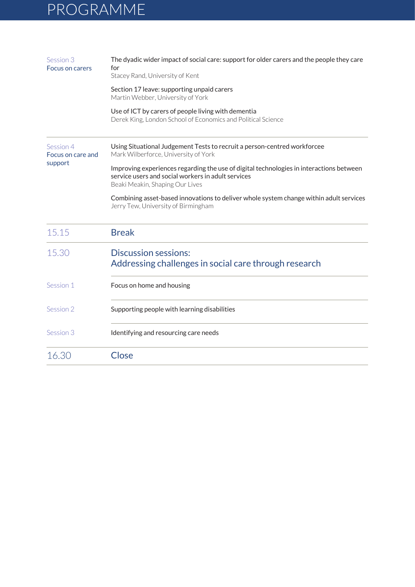## PROGRAMME

| Session 3<br>Focus on carers              | The dyadic wider impact of social care: support for older carers and the people they care<br>for<br>Stacey Rand, University of Kent                                              |
|-------------------------------------------|----------------------------------------------------------------------------------------------------------------------------------------------------------------------------------|
|                                           | Section 17 leave: supporting unpaid carers<br>Martin Webber, University of York                                                                                                  |
|                                           | Use of ICT by carers of people living with dementia<br>Derek King, London School of Economics and Political Science                                                              |
| Session 4<br>Focus on care and<br>support | Using Situational Judgement Tests to recruit a person-centred workforcee<br>Mark Wilberforce, University of York                                                                 |
|                                           | Improving experiences regarding the use of digital technologies in interactions between<br>service users and social workers in adult services<br>Beaki Meakin, Shaping Our Lives |
|                                           | Combining asset-based innovations to deliver whole system change within adult services<br>Jerry Tew, University of Birmingham                                                    |
| 15.15                                     | <b>Break</b>                                                                                                                                                                     |
| 15.30                                     | <b>Discussion sessions:</b><br>Addressing challenges in social care through research                                                                                             |
| Session 1                                 | Focus on home and housing                                                                                                                                                        |
| Session 2                                 | Supporting people with learning disabilities                                                                                                                                     |
| Session 3                                 | Identifying and resourcing care needs                                                                                                                                            |
| 16.30                                     | Close                                                                                                                                                                            |